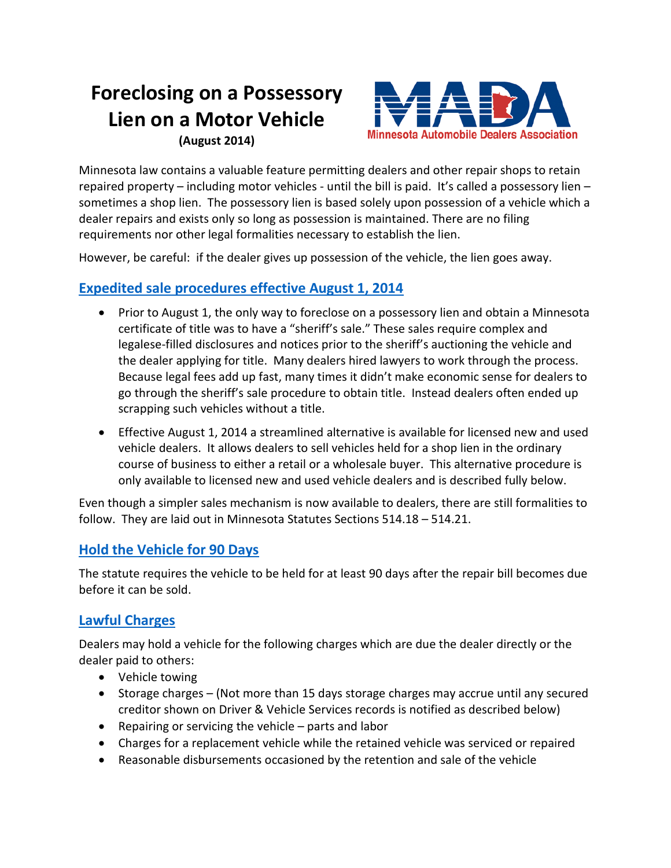### **Foreclosing on a Possessory Lien on a Motor Vehicle (August 2014)**



Minnesota law contains a valuable feature permitting dealers and other repair shops to retain repaired property – including motor vehicles - until the bill is paid. It's called a possessory lien – sometimes a shop lien. The possessory lien is based solely upon possession of a vehicle which a dealer repairs and exists only so long as possession is maintained. There are no filing requirements nor other legal formalities necessary to establish the lien.

However, be careful: if the dealer gives up possession of the vehicle, the lien goes away.

#### **[Expedited sale procedures effective August 1, 2014](https://www.revisor.mn.gov/laws/?year=2014&type=0&doctype=Chapter&id=231)**

- Prior to August 1, the only way to foreclose on a possessory lien and obtain a Minnesota certificate of title was to have a "sheriff's sale." These sales require complex and legalese-filled disclosures and notices prior to the sheriff's auctioning the vehicle and the dealer applying for title. Many dealers hired lawyers to work through the process. Because legal fees add up fast, many times it didn't make economic sense for dealers to go through the sheriff's sale procedure to obtain title. Instead dealers often ended up scrapping such vehicles without a title.
- Effective August 1, 2014 a streamlined alternative is available for licensed new and used vehicle dealers. It allows dealers to sell vehicles held for a shop lien in the ordinary course of business to either a retail or a wholesale buyer. This alternative procedure is only available to licensed new and used vehicle dealers and is described fully below.

Even though a simpler sales mechanism is now available to dealers, there are still formalities to follow. They are laid out in Minnesota Statutes Sections 514.18 – 514.21.

#### **[Hold the Vehicle](https://www.revisor.mn.gov/statutes/?id=514.20) for 90 Days**

The statute requires the vehicle to be held for at least 90 days after the repair bill becomes due before it can be sold.

#### **[Lawful Charges](https://www.revisor.mn.gov/statutes/?id=514.19)**

Dealers may hold a vehicle for the following charges which are due the dealer directly or the dealer paid to others:

- Vehicle towing
- Storage charges (Not more than 15 days storage charges may accrue until any secured creditor shown on Driver & Vehicle Services records is notified as described below)
- Repairing or servicing the vehicle parts and labor
- Charges for a replacement vehicle while the retained vehicle was serviced or repaired
- Reasonable disbursements occasioned by the retention and sale of the vehicle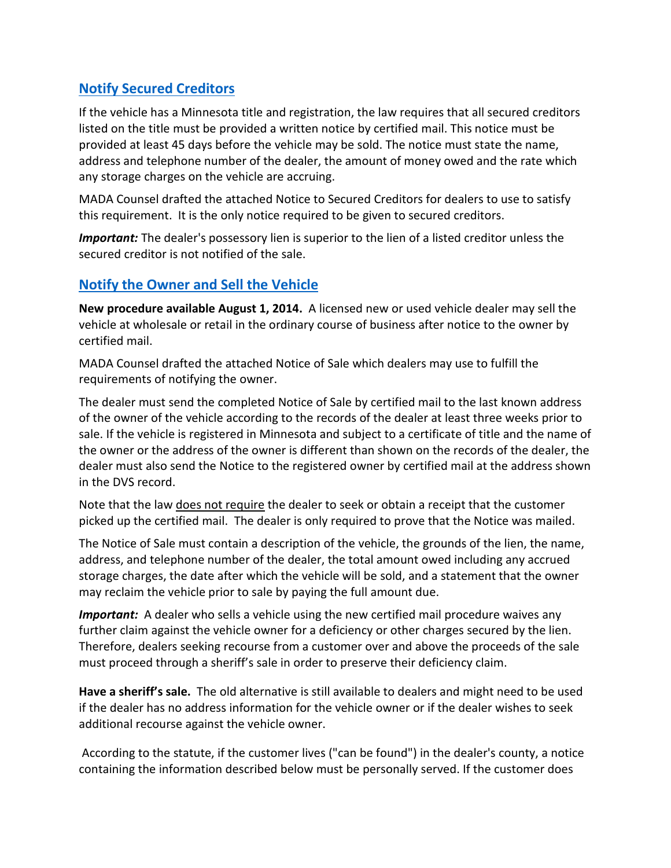#### **Notify [Secured Creditors](https://www.revisor.mn.gov/statutes/?id=514.20)**

If the vehicle has a Minnesota title and registration, the law requires that all secured creditors listed on the title must be provided a written notice by certified mail. This notice must be provided at least 45 days before the vehicle may be sold. The notice must state the name, address and telephone number of the dealer, the amount of money owed and the rate which any storage charges on the vehicle are accruing.

MADA Counsel drafted the attached Notice to Secured Creditors for dealers to use to satisfy this requirement. It is the only notice required to be given to secured creditors.

*Important:* The dealer's possessory lien is superior to the lien of a listed creditor unless the secured creditor is not notified of the sale.

#### **[Notify the Owner and Sell the Vehicle](https://www.revisor.mn.gov/laws/?year=2014&type=0&doctype=Chapter&id=231)**

**New procedure available August 1, 2014.** A licensed new or used vehicle dealer may sell the vehicle at wholesale or retail in the ordinary course of business after notice to the owner by certified mail.

MADA Counsel drafted the attached Notice of Sale which dealers may use to fulfill the requirements of notifying the owner.

The dealer must send the completed Notice of Sale by certified mail to the last known address of the owner of the vehicle according to the records of the dealer at least three weeks prior to sale. If the vehicle is registered in Minnesota and subject to a certificate of title and the name of the owner or the address of the owner is different than shown on the records of the dealer, the dealer must also send the Notice to the registered owner by certified mail at the address shown in the DVS record.

Note that the law does not require the dealer to seek or obtain a receipt that the customer picked up the certified mail. The dealer is only required to prove that the Notice was mailed.

The Notice of Sale must contain a description of the vehicle, the grounds of the lien, the name, address, and telephone number of the dealer, the total amount owed including any accrued storage charges, the date after which the vehicle will be sold, and a statement that the owner may reclaim the vehicle prior to sale by paying the full amount due.

*Important:* A dealer who sells a vehicle using the new certified mail procedure waives any further claim against the vehicle owner for a deficiency or other charges secured by the lien. Therefore, dealers seeking recourse from a customer over and above the proceeds of the sale must proceed through a sheriff's sale in order to preserve their deficiency claim.

**Have a sheriff's sale.** The old alternative is still available to dealers and might need to be used if the dealer has no address information for the vehicle owner or if the dealer wishes to seek additional recourse against the vehicle owner.

According to the statute, if the customer lives ("can be found") in the dealer's county, a notice containing the information described below must be personally served. If the customer does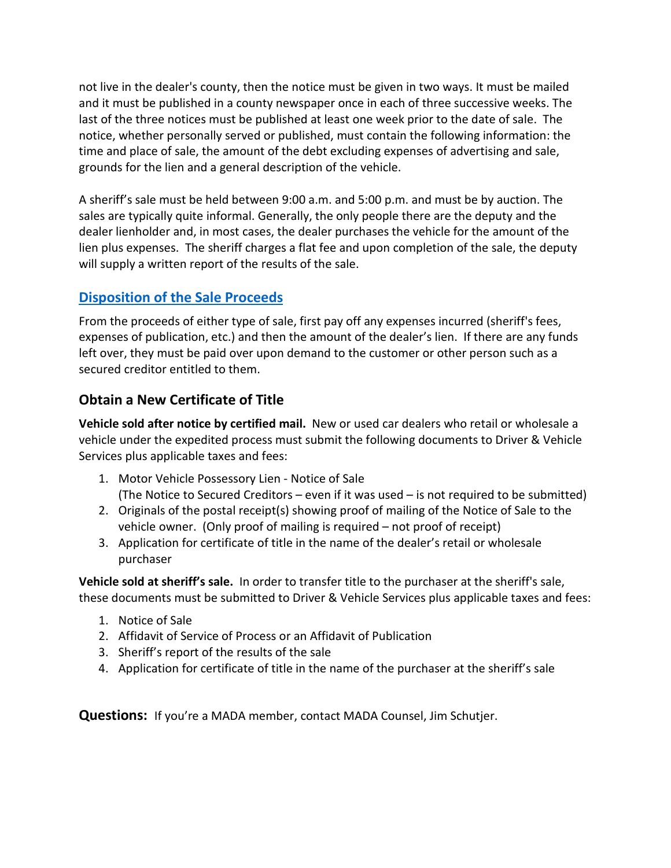not live in the dealer's county, then the notice must be given in two ways. It must be mailed and it must be published in a county newspaper once in each of three successive weeks. The last of the three notices must be published at least one week prior to the date of sale. The notice, whether personally served or published, must contain the following information: the time and place of sale, the amount of the debt excluding expenses of advertising and sale, grounds for the lien and a general description of the vehicle.

A sheriff's sale must be held between 9:00 a.m. and 5:00 p.m. and must be by auction. The sales are typically quite informal. Generally, the only people there are the deputy and the dealer lienholder and, in most cases, the dealer purchases the vehicle for the amount of the lien plus expenses. The sheriff charges a flat fee and upon completion of the sale, the deputy will supply a written report of the results of the sale.

#### **[Disposition of the Sale Proceeds](https://www.revisor.mn.gov/statutes/?id=514.20)**

From the proceeds of either type of sale, first pay off any expenses incurred (sheriff's fees, expenses of publication, etc.) and then the amount of the dealer's lien. If there are any funds left over, they must be paid over upon demand to the customer or other person such as a secured creditor entitled to them.

#### **Obtain a New Certificate of Title**

**Vehicle sold after notice by certified mail.** New or used car dealers who retail or wholesale a vehicle under the expedited process must submit the following documents to Driver & Vehicle Services plus applicable taxes and fees:

- 1. Motor Vehicle Possessory Lien Notice of Sale (The Notice to Secured Creditors – even if it was used – is not required to be submitted)
- 2. Originals of the postal receipt(s) showing proof of mailing of the Notice of Sale to the vehicle owner. (Only proof of mailing is required – not proof of receipt)
- 3. Application for certificate of title in the name of the dealer's retail or wholesale purchaser

**Vehicle sold at sheriff's sale.** In order to transfer title to the purchaser at the sheriff's sale, these documents must be submitted to Driver & Vehicle Services plus applicable taxes and fees:

- 1. Notice of Sale
- 2. Affidavit of Service of Process or an Affidavit of Publication
- 3. Sheriff's report of the results of the sale
- 4. Application for certificate of title in the name of the purchaser at the sheriff's sale

**Questions:** If you're a MADA member, contact MADA Counsel, Jim Schutjer.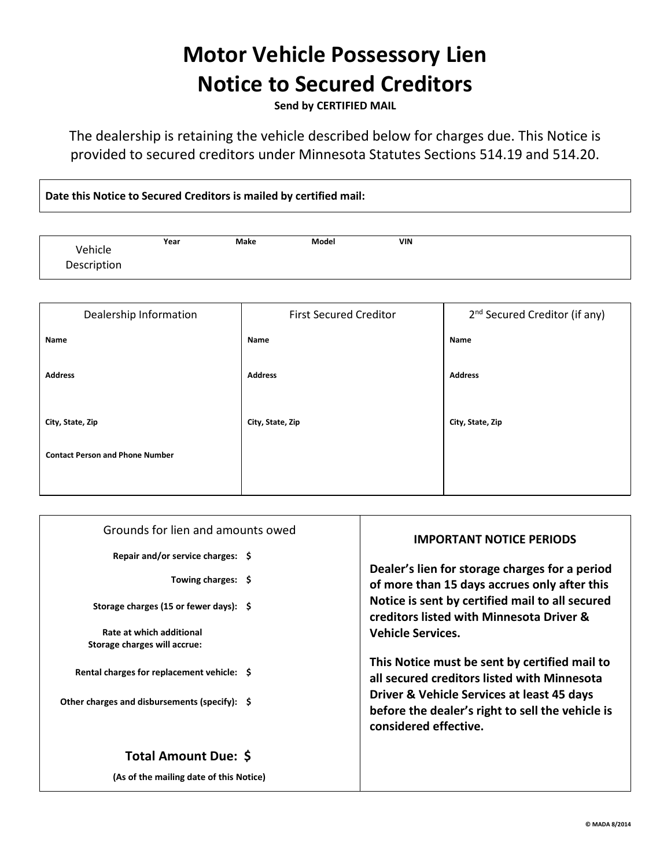# **Motor Vehicle Possessory Lien Notice to Secured Creditors**

**Send by CERTIFIED MAIL**

The dealership is retaining the vehicle described below for charges due. This Notice is provided to secured creditors under Minnesota Statutes Sections 514.19 and 514.20.

**Date this Notice to Secured Creditors is mailed by certified mail:**

|             | Year | Make | Model | VIN |
|-------------|------|------|-------|-----|
| Vehicle     |      |      |       |     |
| Description |      |      |       |     |
|             |      |      |       |     |

| Dealership Information                 | <b>First Secured Creditor</b> | 2 <sup>nd</sup> Secured Creditor (if any) |
|----------------------------------------|-------------------------------|-------------------------------------------|
| Name                                   | Name                          | Name                                      |
| <b>Address</b>                         | <b>Address</b>                | <b>Address</b>                            |
| City, State, Zip                       | City, State, Zip              | City, State, Zip                          |
| <b>Contact Person and Phone Number</b> |                               |                                           |
|                                        |                               |                                           |

| Grounds for lien and amounts owed                                             | <b>IMPORTANT NOTICE PERIODS</b>                                                                                                            |  |
|-------------------------------------------------------------------------------|--------------------------------------------------------------------------------------------------------------------------------------------|--|
| Repair and/or service charges: \$<br>Towing charges: \$                       | Dealer's lien for storage charges for a period<br>of more than 15 days accrues only after this                                             |  |
| Storage charges (15 or fewer days): $\frac{1}{2}$<br>Rate at which additional | Notice is sent by certified mail to all secured<br>creditors listed with Minnesota Driver &<br><b>Vehicle Services.</b>                    |  |
| Storage charges will accrue:                                                  |                                                                                                                                            |  |
| Rental charges for replacement vehicle: \$                                    | This Notice must be sent by certified mail to<br>all secured creditors listed with Minnesota<br>Driver & Vehicle Services at least 45 days |  |
| Other charges and disbursements (specify): $\oint$                            | before the dealer's right to sell the vehicle is<br>considered effective.                                                                  |  |
| <b>Total Amount Due: \$</b>                                                   |                                                                                                                                            |  |
| (As of the mailing date of this Notice)                                       |                                                                                                                                            |  |